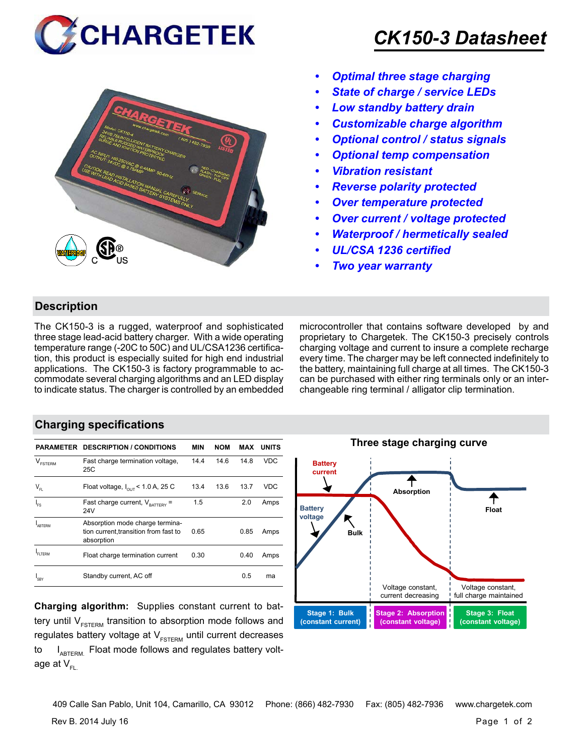



## *CK150-3 Datasheet*

- *• Optimal three stage charging*
- *• State of charge / service LEDs*
- *• Low standby battery drain*
- *• Customizable charge algorithm*
- *• Optional control / status signals*
- *• Optional temp compensation*
- *• Vibration resistant*
- *• Reverse polarity protected*
- *• Over temperature protected*
- *• Over current / voltage protected*
- *• Waterproof / hermetically sealed*
- *• UL/CSA 1236 certified*
- *• Two year warranty*

#### **Description**

The CK150-3 is a rugged, waterproof and sophisticated three stage lead-acid battery charger. With a wide operating temperature range (-20C to 50C) and UL/CSA1236 certification, this product is especially suited for high end industrial applications. The CK150-3 is factory programmable to accommodate several charging algorithms and an LED display to indicate status. The charger is controlled by an embedded microcontroller that contains software developed by and proprietary to Chargetek. The CK150-3 precisely controls charging voltage and current to insure a complete recharge every time. The charger may be left connected indefinitely to the battery, maintaining full charge at all times. The CK150-3 can be purchased with either ring terminals only or an interchangeable ring terminal / alligator clip termination.

#### **Charging specifications**

|                                                | <b>PARAMETER DESCRIPTION / CONDITIONS</b>                                              | <b>MIN</b> | <b>NOM</b> | MAX  | <b>UNITS</b> |
|------------------------------------------------|----------------------------------------------------------------------------------------|------------|------------|------|--------------|
| $\vee$<br><b>FSTERM</b>                        | Fast charge termination voltage,<br>25C                                                | 14.4       | 14.6       | 14.8 | <b>VDC</b>   |
| $\mathsf{V}_{\scriptscriptstyle{\mathsf{FL}}}$ | Float voltage, $I_{\text{out}}$ < 1.0 A, 25 C                                          | 13.4       | 13.6       | 13.7 | VDC          |
| ı<br>Fs                                        | Fast charge current, $V_{\text{BATTARY}}$ =<br>24V                                     | 1.5        |            | 2.0  | Amps         |
| ARTFRM                                         | Absorption mode charge termina-<br>tion current, transition from fast to<br>absorption | 0.65       |            | 0.85 | Amps         |
| FI TFRM                                        | Float charge termination current                                                       | 0.30       |            | 0.40 | Amps         |
| I <sub>SBY</sub>                               | Standby current, AC off                                                                |            |            | 0.5  | ma           |

**Charging algorithm:** Supplies constant current to battery until  $V_{ESTERM}$  transition to absorption mode follows and regulates battery voltage at  $V_{ESTFRM}$  until current decreases to  $I_{ABTERM}$ . Float mode follows and regulates battery voltage at  $V_{\text{F}}$ 



Rev B. 2014 July 16 Page 1 of 2 409 Calle San Pablo, Unit 104, Camarillo, CA 93012 Phone: (866) 482-7930 Fax: (805) 482-7936 www.chargetek.com